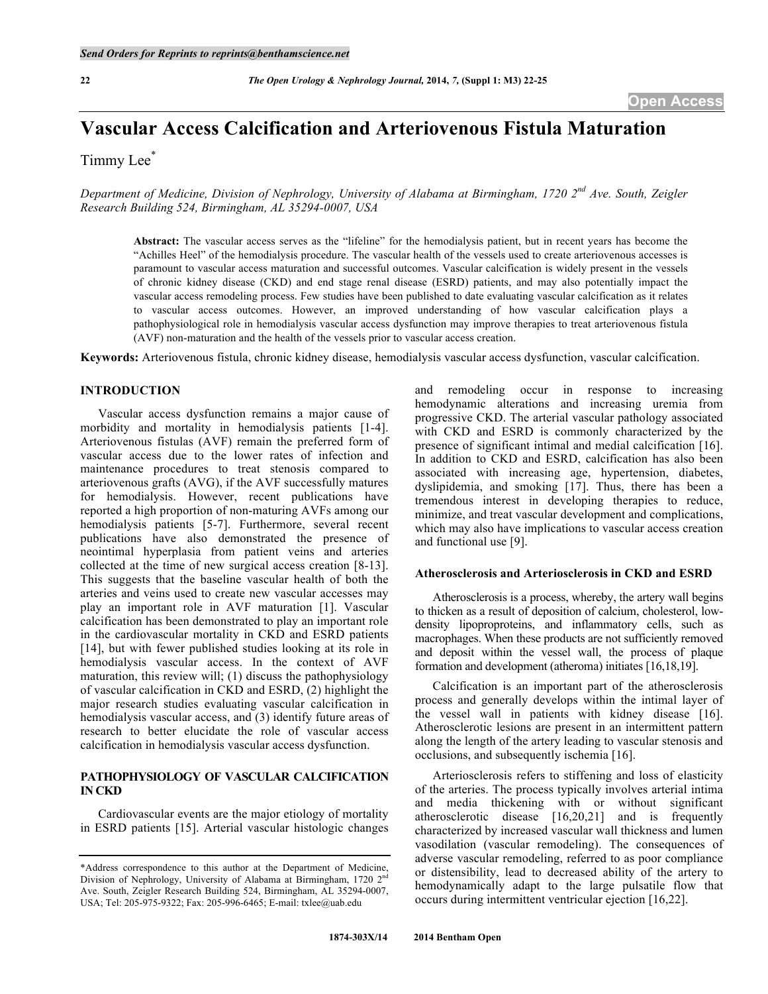# **Vascular Access Calcification and Arteriovenous Fistula Maturation**

Timmy Lee\*

*Department of Medicine, Division of Nephrology, University of Alabama at Birmingham, 1720 2nd Ave. South, Zeigler Research Building 524, Birmingham, AL 35294-0007, USA*

**Abstract:** The vascular access serves as the "lifeline" for the hemodialysis patient, but in recent years has become the "Achilles Heel" of the hemodialysis procedure. The vascular health of the vessels used to create arteriovenous accesses is paramount to vascular access maturation and successful outcomes. Vascular calcification is widely present in the vessels of chronic kidney disease (CKD) and end stage renal disease (ESRD) patients, and may also potentially impact the vascular access remodeling process. Few studies have been published to date evaluating vascular calcification as it relates to vascular access outcomes. However, an improved understanding of how vascular calcification plays a pathophysiological role in hemodialysis vascular access dysfunction may improve therapies to treat arteriovenous fistula (AVF) non-maturation and the health of the vessels prior to vascular access creation.

**Keywords:** Arteriovenous fistula, chronic kidney disease, hemodialysis vascular access dysfunction, vascular calcification.

# **INTRODUCTION**

Vascular access dysfunction remains a major cause of morbidity and mortality in hemodialysis patients [1-4]. Arteriovenous fistulas (AVF) remain the preferred form of vascular access due to the lower rates of infection and maintenance procedures to treat stenosis compared to arteriovenous grafts (AVG), if the AVF successfully matures for hemodialysis. However, recent publications have reported a high proportion of non-maturing AVFs among our hemodialysis patients [5-7]. Furthermore, several recent publications have also demonstrated the presence of neointimal hyperplasia from patient veins and arteries collected at the time of new surgical access creation [8-13]. This suggests that the baseline vascular health of both the arteries and veins used to create new vascular accesses may play an important role in AVF maturation [1]. Vascular calcification has been demonstrated to play an important role in the cardiovascular mortality in CKD and ESRD patients [14], but with fewer published studies looking at its role in hemodialysis vascular access. In the context of AVF maturation, this review will; (1) discuss the pathophysiology of vascular calcification in CKD and ESRD, (2) highlight the major research studies evaluating vascular calcification in hemodialysis vascular access, and (3) identify future areas of research to better elucidate the role of vascular access calcification in hemodialysis vascular access dysfunction.

# **PATHOPHYSIOLOGY OF VASCULAR CALCIFICATION IN CKD**

Cardiovascular events are the major etiology of mortality in ESRD patients [15]. Arterial vascular histologic changes

and remodeling occur in response to increasing hemodynamic alterations and increasing uremia from progressive CKD. The arterial vascular pathology associated with CKD and ESRD is commonly characterized by the presence of significant intimal and medial calcification [16]. In addition to CKD and ESRD, calcification has also been associated with increasing age, hypertension, diabetes, dyslipidemia, and smoking [17]. Thus, there has been a tremendous interest in developing therapies to reduce, minimize, and treat vascular development and complications, which may also have implications to vascular access creation and functional use [9].

## **Atherosclerosis and Arteriosclerosis in CKD and ESRD**

Atherosclerosis is a process, whereby, the artery wall begins to thicken as a result of deposition of calcium, cholesterol, lowdensity lipoproproteins, and inflammatory cells, such as macrophages. When these products are not sufficiently removed and deposit within the vessel wall, the process of plaque formation and development (atheroma) initiates [16,18,19].

Calcification is an important part of the atherosclerosis process and generally develops within the intimal layer of the vessel wall in patients with kidney disease [16]. Atherosclerotic lesions are present in an intermittent pattern along the length of the artery leading to vascular stenosis and occlusions, and subsequently ischemia [16].

Arteriosclerosis refers to stiffening and loss of elasticity of the arteries. The process typically involves arterial intima and media thickening with or without significant atherosclerotic disease [16,20,21] and is frequently characterized by increased vascular wall thickness and lumen vasodilation (vascular remodeling). The consequences of adverse vascular remodeling, referred to as poor compliance or distensibility, lead to decreased ability of the artery to hemodynamically adapt to the large pulsatile flow that occurs during intermittent ventricular ejection [16,22].

<sup>\*</sup>Address correspondence to this author at the Department of Medicine, Division of Nephrology, University of Alabama at Birmingham, 1720  $2<sup>nd</sup>$ Ave. South, Zeigler Research Building 524, Birmingham, AL 35294-0007, USA; Tel: 205-975-9322; Fax: 205-996-6465; E-mail: txlee@uab.edu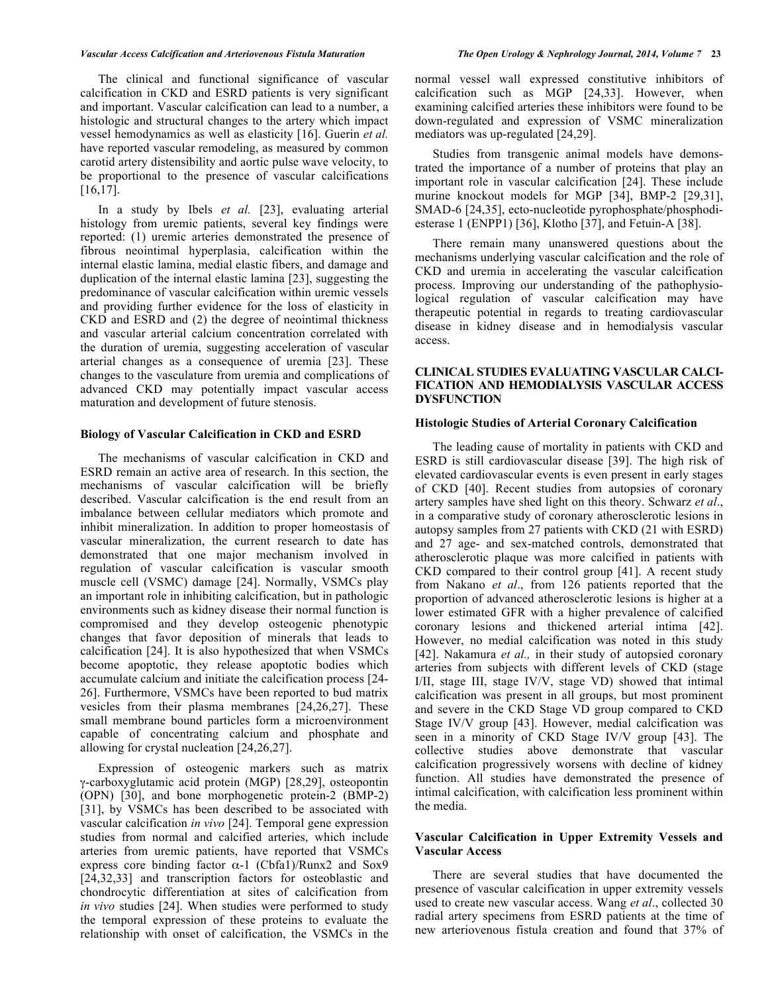### *Vascular Access Calcification and Arteriovenous Fistula Maturation The Open Urology & Nephrology Journal, 2014, Volume 7* **23**

The clinical and functional significance of vascular calcification in CKD and ESRD patients is very significant and important. Vascular calcification can lead to a number, a histologic and structural changes to the artery which impact vessel hemodynamics as well as elasticity [16]. Guerin *et al.* have reported vascular remodeling, as measured by common carotid artery distensibility and aortic pulse wave velocity, to be proportional to the presence of vascular calcifications [16,17].

In a study by Ibels *et al.* [23], evaluating arterial histology from uremic patients, several key findings were reported: (1) uremic arteries demonstrated the presence of fibrous neointimal hyperplasia, calcification within the internal elastic lamina, medial elastic fibers, and damage and duplication of the internal elastic lamina [23], suggesting the predominance of vascular calcification within uremic vessels and providing further evidence for the loss of elasticity in CKD and ESRD and (2) the degree of neointimal thickness and vascular arterial calcium concentration correlated with the duration of uremia, suggesting acceleration of vascular arterial changes as a consequence of uremia [23]. These changes to the vasculature from uremia and complications of advanced CKD may potentially impact vascular access maturation and development of future stenosis.

## **Biology of Vascular Calcification in CKD and ESRD**

The mechanisms of vascular calcification in CKD and ESRD remain an active area of research. In this section, the mechanisms of vascular calcification will be briefly described. Vascular calcification is the end result from an imbalance between cellular mediators which promote and inhibit mineralization. In addition to proper homeostasis of vascular mineralization, the current research to date has demonstrated that one major mechanism involved in regulation of vascular calcification is vascular smooth muscle cell (VSMC) damage [24]. Normally, VSMCs play an important role in inhibiting calcification, but in pathologic environments such as kidney disease their normal function is compromised and they develop osteogenic phenotypic changes that favor deposition of minerals that leads to calcification [24]. It is also hypothesized that when VSMCs become apoptotic, they release apoptotic bodies which accumulate calcium and initiate the calcification process [24- 26]. Furthermore, VSMCs have been reported to bud matrix vesicles from their plasma membranes [24,26,27]. These small membrane bound particles form a microenvironment capable of concentrating calcium and phosphate and allowing for crystal nucleation [24,26,27].

Expression of osteogenic markers such as matrix γ-carboxyglutamic acid protein (MGP) [28,29], osteopontin (OPN) [30], and bone morphogenetic protein-2 (BMP-2) [31], by VSMCs has been described to be associated with vascular calcification *in vivo* [24]. Temporal gene expression studies from normal and calcified arteries, which include arteries from uremic patients, have reported that VSMCs express core binding factor  $\alpha$ -1 (Cbfa1)/Runx2 and Sox9 [24,32,33] and transcription factors for osteoblastic and chondrocytic differentiation at sites of calcification from *in vivo* studies [24]. When studies were performed to study the temporal expression of these proteins to evaluate the relationship with onset of calcification, the VSMCs in the

normal vessel wall expressed constitutive inhibitors of calcification such as MGP [24,33]. However, when examining calcified arteries these inhibitors were found to be down-regulated and expression of VSMC mineralization mediators was up-regulated [24,29].

Studies from transgenic animal models have demonstrated the importance of a number of proteins that play an important role in vascular calcification [24]. These include murine knockout models for MGP [34], BMP-2 [29,31], SMAD-6 [24,35], ecto-nucleotide pyrophosphate/phosphodiesterase 1 (ENPP1) [36], Klotho [37], and Fetuin-A [38].

There remain many unanswered questions about the mechanisms underlying vascular calcification and the role of CKD and uremia in accelerating the vascular calcification process. Improving our understanding of the pathophysiological regulation of vascular calcification may have therapeutic potential in regards to treating cardiovascular disease in kidney disease and in hemodialysis vascular access.

# **CLINICAL STUDIES EVALUATING VASCULAR CALCI-FICATION AND HEMODIALYSIS VASCULAR ACCESS DYSFUNCTION**

#### **Histologic Studies of Arterial Coronary Calcification**

The leading cause of mortality in patients with CKD and ESRD is still cardiovascular disease [39]. The high risk of elevated cardiovascular events is even present in early stages of CKD [40]. Recent studies from autopsies of coronary artery samples have shed light on this theory. Schwarz *et al*., in a comparative study of coronary atherosclerotic lesions in autopsy samples from 27 patients with CKD (21 with ESRD) and 27 age- and sex-matched controls, demonstrated that atherosclerotic plaque was more calcified in patients with CKD compared to their control group [41]. A recent study from Nakano *et al*., from 126 patients reported that the proportion of advanced atherosclerotic lesions is higher at a lower estimated GFR with a higher prevalence of calcified coronary lesions and thickened arterial intima [42]. However, no medial calcification was noted in this study [42]. Nakamura *et al.*, in their study of autopsied coronary arteries from subjects with different levels of CKD (stage I/II, stage III, stage IV/V, stage VD) showed that intimal calcification was present in all groups, but most prominent and severe in the CKD Stage VD group compared to CKD Stage IV/V group [43]. However, medial calcification was seen in a minority of CKD Stage IV/V group [43]. The collective studies above demonstrate that vascular calcification progressively worsens with decline of kidney function. All studies have demonstrated the presence of intimal calcification, with calcification less prominent within the media.

# **Vascular Calcification in Upper Extremity Vessels and Vascular Access**

There are several studies that have documented the presence of vascular calcification in upper extremity vessels used to create new vascular access. Wang *et al*., collected 30 radial artery specimens from ESRD patients at the time of new arteriovenous fistula creation and found that 37% of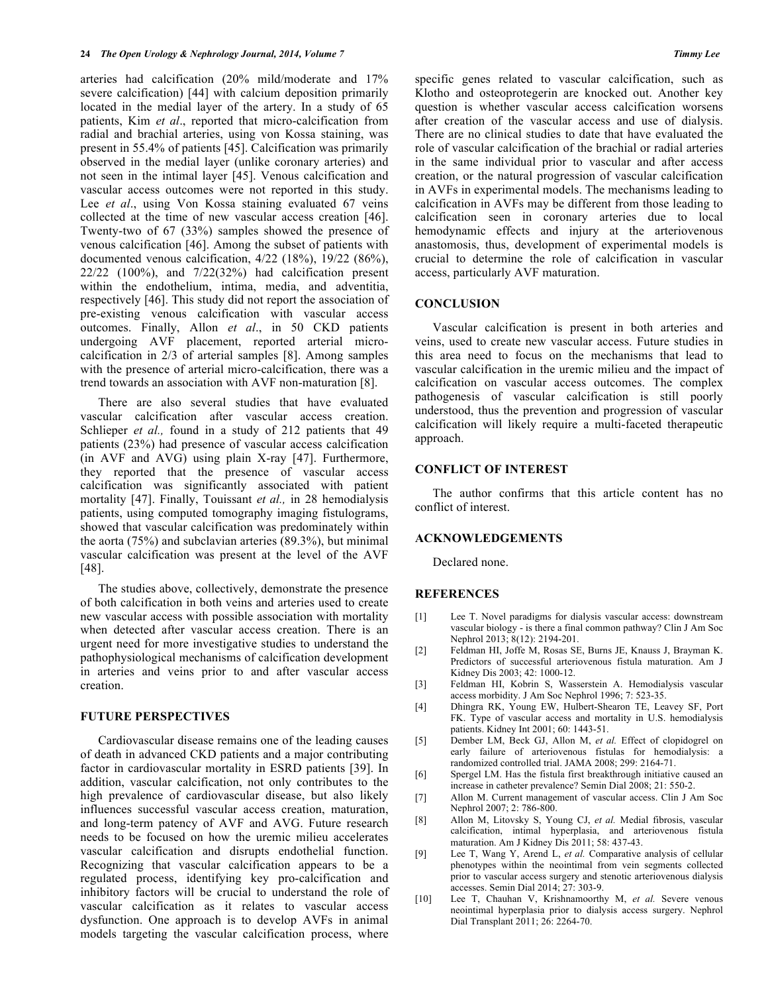arteries had calcification (20% mild/moderate and 17% severe calcification) [44] with calcium deposition primarily located in the medial layer of the artery. In a study of 65 patients, Kim *et al*., reported that micro-calcification from radial and brachial arteries, using von Kossa staining, was present in 55.4% of patients [45]. Calcification was primarily observed in the medial layer (unlike coronary arteries) and not seen in the intimal layer [45]. Venous calcification and vascular access outcomes were not reported in this study. Lee *et al.*, using Von Kossa staining evaluated 67 veins collected at the time of new vascular access creation [46]. Twenty-two of 67 (33%) samples showed the presence of venous calcification [46]. Among the subset of patients with documented venous calcification, 4/22 (18%), 19/22 (86%), 22/22 (100%), and 7/22(32%) had calcification present within the endothelium, intima, media, and adventitia, respectively [46]. This study did not report the association of pre-existing venous calcification with vascular access outcomes. Finally, Allon *et al*., in 50 CKD patients undergoing AVF placement, reported arterial microcalcification in 2/3 of arterial samples [8]. Among samples with the presence of arterial micro-calcification, there was a trend towards an association with AVF non-maturation [8].

There are also several studies that have evaluated vascular calcification after vascular access creation. Schlieper *et al.*, found in a study of 212 patients that 49 patients (23%) had presence of vascular access calcification (in AVF and AVG) using plain X-ray [47]. Furthermore, they reported that the presence of vascular access calcification was significantly associated with patient mortality [47]. Finally, Touissant *et al.,* in 28 hemodialysis patients, using computed tomography imaging fistulograms, showed that vascular calcification was predominately within the aorta (75%) and subclavian arteries (89.3%), but minimal vascular calcification was present at the level of the AVF [48].

The studies above, collectively, demonstrate the presence of both calcification in both veins and arteries used to create new vascular access with possible association with mortality when detected after vascular access creation. There is an urgent need for more investigative studies to understand the pathophysiological mechanisms of calcification development in arteries and veins prior to and after vascular access creation.

## **FUTURE PERSPECTIVES**

Cardiovascular disease remains one of the leading causes of death in advanced CKD patients and a major contributing factor in cardiovascular mortality in ESRD patients [39]. In addition, vascular calcification, not only contributes to the high prevalence of cardiovascular disease, but also likely influences successful vascular access creation, maturation, and long-term patency of AVF and AVG. Future research needs to be focused on how the uremic milieu accelerates vascular calcification and disrupts endothelial function. Recognizing that vascular calcification appears to be a regulated process, identifying key pro-calcification and inhibitory factors will be crucial to understand the role of vascular calcification as it relates to vascular access dysfunction. One approach is to develop AVFs in animal models targeting the vascular calcification process, where

specific genes related to vascular calcification, such as Klotho and osteoprotegerin are knocked out. Another key question is whether vascular access calcification worsens after creation of the vascular access and use of dialysis. There are no clinical studies to date that have evaluated the role of vascular calcification of the brachial or radial arteries in the same individual prior to vascular and after access creation, or the natural progression of vascular calcification in AVFs in experimental models. The mechanisms leading to calcification in AVFs may be different from those leading to calcification seen in coronary arteries due to local hemodynamic effects and injury at the arteriovenous anastomosis, thus, development of experimental models is crucial to determine the role of calcification in vascular access, particularly AVF maturation.

## **CONCLUSION**

Vascular calcification is present in both arteries and veins, used to create new vascular access. Future studies in this area need to focus on the mechanisms that lead to vascular calcification in the uremic milieu and the impact of calcification on vascular access outcomes. The complex pathogenesis of vascular calcification is still poorly understood, thus the prevention and progression of vascular calcification will likely require a multi-faceted therapeutic approach.

## **CONFLICT OF INTEREST**

The author confirms that this article content has no conflict of interest.

## **ACKNOWLEDGEMENTS**

Declared none.

# **REFERENCES**

- [1] Lee T. Novel paradigms for dialysis vascular access: downstream vascular biology - is there a final common pathway? Clin J Am Soc Nephrol 2013; 8(12): 2194-201.
- [2] Feldman HI, Joffe M, Rosas SE, Burns JE, Knauss J, Brayman K. Predictors of successful arteriovenous fistula maturation. Am J Kidney Dis 2003; 42: 1000-12.
- [3] Feldman HI, Kobrin S, Wasserstein A. Hemodialysis vascular access morbidity. J Am Soc Nephrol 1996; 7: 523-35.
- [4] Dhingra RK, Young EW, Hulbert-Shearon TE, Leavey SF, Port FK. Type of vascular access and mortality in U.S. hemodialysis patients. Kidney Int 2001; 60: 1443-51.
- [5] Dember LM, Beck GJ, Allon M, *et al.* Effect of clopidogrel on early failure of arteriovenous fistulas for hemodialysis: a randomized controlled trial. JAMA 2008; 299: 2164-71.
- [6] Spergel LM. Has the fistula first breakthrough initiative caused an increase in catheter prevalence? Semin Dial 2008; 21: 550-2.
- [7] Allon M. Current management of vascular access. Clin J Am Soc Nephrol 2007; 2: 786-800.
- [8] Allon M, Litovsky S, Young CJ, *et al.* Medial fibrosis, vascular calcification, intimal hyperplasia, and arteriovenous fistula maturation. Am J Kidney Dis 2011; 58: 437-43.
- [9] Lee T, Wang Y, Arend L, *et al.* Comparative analysis of cellular phenotypes within the neointimal from vein segments collected prior to vascular access surgery and stenotic arteriovenous dialysis accesses. Semin Dial 2014; 27: 303-9.
- [10] Lee T, Chauhan V, Krishnamoorthy M, *et al.* Severe venous neointimal hyperplasia prior to dialysis access surgery. Nephrol Dial Transplant 2011; 26: 2264-70.